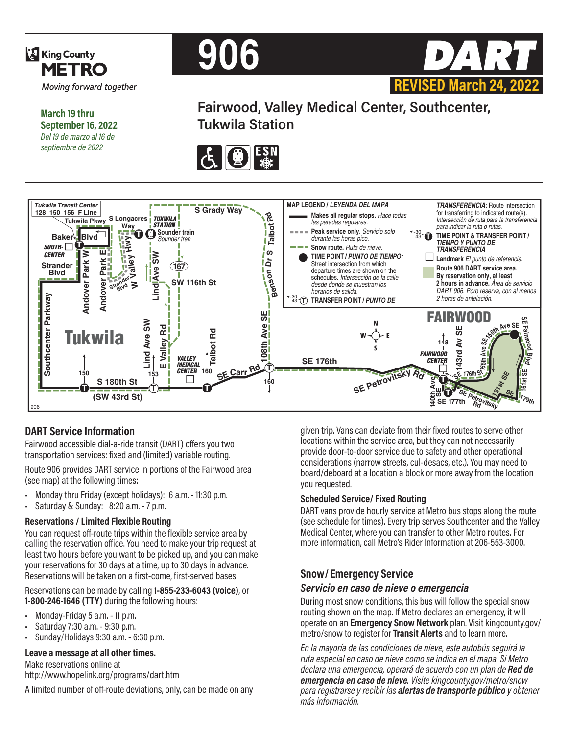

**March 19 thru September 16, 2022** *Del 19 de marzo al 16 de septiembre de 2022*





**Fairwood, Valley Medical Center, Southcenter, Tukwila Station**





### **DART Service Information**

Fairwood accessible dial-a-ride transit (DART) offers you two transportation services: fixed and (limited) variable routing.

Route 906 provides DART service in portions of the Fairwood area (see map) at the following times:

- Monday thru Friday (except holidays): 6 a.m. 11:30 p.m.
- Saturday & Sunday: 8:20 a.m. 7 p.m.

#### **Reservations / Limited Flexible Routing**

You can request off-route trips within the flexible service area by calling the reservation office. You need to make your trip request at least two hours before you want to be picked up, and you can make your reservations for 30 days at a time, up to 30 days in advance. Reservations will be taken on a first-come, first-served bases.

Reservations can be made by calling **1-855-233-6043 (voice)**, or **1-800-246-1646 (TTY)** during the following hours:

- Monday-Friday 5 a.m. 11 p.m.
- Saturday 7:30 a.m. 9:30 p.m.
- Sunday/Holidays 9:30 a.m. 6:30 p.m.

#### **Leave a message at all other times.**

Make reservations online at http://www.hopelink.org/programs/dart.htm

A limited number of off-route deviations, only, can be made on any

given trip. Vans can deviate from their fixed routes to serve other locations within the service area, but they can not necessarily provide door-to-door service due to safety and other operational considerations (narrow streets, cul-desacs, etc.). You may need to board/deboard at a location a block or more away from the location you requested.

#### **Scheduled Service/ Fixed Routing**

DART vans provide hourly service at Metro bus stops along the route (see schedule for times). Every trip serves Southcenter and the Valley Medical Center, where you can transfer to other Metro routes. For more information, call Metro's Rider Information at 206-553-3000.

#### **Snow/ Emergency Service**

#### *Servicio en caso de nieve o emergencia*

During most snow conditions, this bus will follow the special snow routing shown on the map. If Metro declares an emergency, it will operate on an **Emergency Snow Network** plan. Visit kingcounty.gov/ metro/snow to register for **Transit Alerts** and to learn more.

*En la mayoría de las condiciones de nieve, este autobús seguirá la ruta especial en caso de nieve como se indica en el mapa. Si Metro declara una emergencia, operará de acuerdo con un plan de Red de emergencia en caso de nieve. Visite kingcounty.gov/metro/snow para registrarse y recibir las alertas de transporte público y obtener más información.*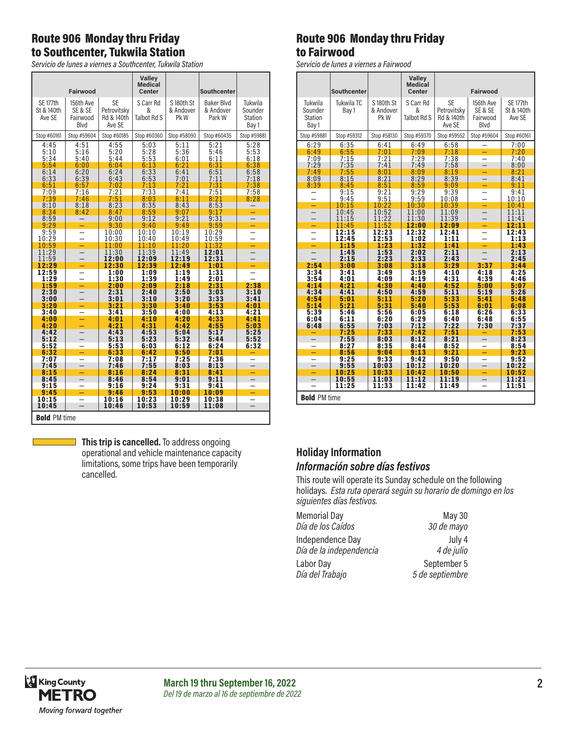# Route 906 Monday thru Friday to Southcenter, Tukwila Station

*Servicio de lunes a viernes a Southcenter, Tukwila Station*

| <b>SE</b><br>SE 177th<br>S Carr Rd<br>Tukwila<br>156th Ave<br>S180th St<br>Baker Blvd<br>St & 140th<br>SE & SE<br>& Andover<br>Petrovitsky<br>&<br>& Andover<br>Sounder<br>Ave SE<br>Fairwood<br>Rd & 140th<br><b>Talbot Rd S</b><br>Pk W<br>Park W<br><b>Station</b><br>Blvd<br>Ave SE<br>Bay 1<br>Stop #59604<br>Stop #60185<br>Stop #58090<br>Stop #60435<br>Stop #60161<br>Stop #60360<br>Stop #59881<br>4:45<br>4:55<br>5:03<br>5:11<br>5:21<br>5:28<br>4:51<br>5:53<br>5:10<br>5:20<br>5:36<br>5:46<br>5:16<br>5:28<br>5:34<br>5:53<br>6:18<br>5:40<br>5:44<br>6:01<br>6:11<br>6:31<br>5:54<br>6:13<br>6:38<br>6:00<br>6:04<br>6:21<br>6:33<br>6:58<br>6:14<br>6:24<br>6:41<br>6:51<br>6:20<br>7:11<br>7:18<br>6:33<br>6:39<br>6:43<br>6:53<br>7:01 |
|-----------------------------------------------------------------------------------------------------------------------------------------------------------------------------------------------------------------------------------------------------------------------------------------------------------------------------------------------------------------------------------------------------------------------------------------------------------------------------------------------------------------------------------------------------------------------------------------------------------------------------------------------------------------------------------------------------------------------------------------------------------|
|                                                                                                                                                                                                                                                                                                                                                                                                                                                                                                                                                                                                                                                                                                                                                           |
|                                                                                                                                                                                                                                                                                                                                                                                                                                                                                                                                                                                                                                                                                                                                                           |
|                                                                                                                                                                                                                                                                                                                                                                                                                                                                                                                                                                                                                                                                                                                                                           |
| 7:13<br>7:21<br>7:31<br>7:38<br>6:51<br>6:57<br>7:02                                                                                                                                                                                                                                                                                                                                                                                                                                                                                                                                                                                                                                                                                                      |
| 7:33<br>7:21<br>7:41<br>7:09<br>7:16<br>7:51<br>7:58<br>7:51<br>7:39<br>8:11<br>7:46<br>8:03<br>8:28<br>8:21<br>8:53<br>8:10<br>8:23<br>8:35<br>8:43<br>8:18                                                                                                                                                                                                                                                                                                                                                                                                                                                                                                                                                                                              |
| 8:34<br>8:47<br>8:59<br>9:07<br>9:17<br>8:42<br>9:21<br>9:31<br>8:59<br>9:00<br>9:12<br>9:29<br>9:30<br>9:59<br>9:40<br>9:49<br>-                                                                                                                                                                                                                                                                                                                                                                                                                                                                                                                                                                                                                         |
| 9:59<br>10:00<br>10:10<br>10:19<br>10:29<br>$\overline{\phantom{0}}$<br>10:29<br>10:30<br>10:40<br>10:49<br>10:59<br>$\overline{\phantom{0}}$<br>10:59<br>11:32<br>11:10<br>11:20<br>11:00<br>-                                                                                                                                                                                                                                                                                                                                                                                                                                                                                                                                                           |
| Ξ<br>11:29<br>11:30<br>11:39<br>11:49<br>12:01<br>11:59<br>12:31<br>12:00<br>12:09<br>12:19<br>12:49<br>1:01                                                                                                                                                                                                                                                                                                                                                                                                                                                                                                                                                                                                                                              |
| 12:29<br>12:30<br>12:39<br>-<br>12:59<br>1:00<br>1:09<br>1:19<br>1:31<br>L.<br>1:29<br>1:30<br>1:39<br>1:49<br>2:01                                                                                                                                                                                                                                                                                                                                                                                                                                                                                                                                                                                                                                       |
| 1:59<br>2:38<br>2:00<br>2:09<br>2:18<br>2:31<br>2:30<br>2:31<br>2:40<br>2:50<br>3:03<br>3:10<br>3:33<br>3:00<br>3:01<br>3:10<br>3:20<br>3:41                                                                                                                                                                                                                                                                                                                                                                                                                                                                                                                                                                                                              |
| 3:20<br>3:21<br>3:30<br>3:53<br>3:40<br>4:01<br>-<br>3:41<br>3:50<br>4:13<br>4:21<br>3:40<br>4:00<br>4:33<br>4:00<br>4:01<br>4:10<br>4:20<br>4:41<br>÷                                                                                                                                                                                                                                                                                                                                                                                                                                                                                                                                                                                                    |
| 4:20<br>4:21<br>4:31<br>4:42<br>4:55<br>5:03<br>5:17<br>4:42<br>4:43<br>4:53<br>5:04<br>5:25<br>5:32<br>5:52<br>5:12<br>5:13<br>5:23<br>5:44                                                                                                                                                                                                                                                                                                                                                                                                                                                                                                                                                                                                              |
| 5:52<br>5:53<br>6:32<br>6:03<br>6:12<br>6:24<br>6:32<br>6:33<br>6:50<br>6:42<br>7:01<br>-<br>7:17<br>7:25<br>7:36<br>7:07<br>7:08                                                                                                                                                                                                                                                                                                                                                                                                                                                                                                                                                                                                                         |
| 7:45<br>7:55<br>$\overline{\phantom{0}}$<br>7:46<br>8:03<br>8:13<br>$\qquad \qquad -$<br>8:15<br>8:31<br>8:16<br>8:24<br>8:41<br>Ξ<br>8:45<br>8:46<br>8:54<br>9:01<br>9:11                                                                                                                                                                                                                                                                                                                                                                                                                                                                                                                                                                                |
| 9:15<br>9:24<br>9:31<br>9:16<br>9:41<br>9:45<br>9:46<br>9:53<br>10:00<br>10:09<br>-<br>-<br>10:15<br>10:16<br>10:23<br>10:29<br>10:38<br>$\overline{\phantom{0}}$                                                                                                                                                                                                                                                                                                                                                                                                                                                                                                                                                                                         |
| $\overline{\phantom{0}}$<br>$\overline{\phantom{0}}$<br>10:45<br>10:59<br>11:08<br>10:46<br>10:53<br><b>Bold PM time</b>                                                                                                                                                                                                                                                                                                                                                                                                                                                                                                                                                                                                                                  |

**This trip is cancelled.** To address ongoing operational and vehicle maintenance capacity limitations, some trips have been temporarily cancelled.

### Route 906 Monday thru Friday to Fairwood

*Servicio de lunes a viernes a Fairwood*

|                                        | <b>Southcenter</b>   |                                 | Valley<br><b>Medical</b><br><b>Center</b> |                                                  | Fairwood                                 |                                         |
|----------------------------------------|----------------------|---------------------------------|-------------------------------------------|--------------------------------------------------|------------------------------------------|-----------------------------------------|
| Tukwila<br>Sounder<br>Station<br>Bay 1 | Tukwila TC<br>Bay 1  | S 180th St<br>& Andover<br>Pk W | S Carr Rd<br>&<br>Talbot Rd S             | <b>SE</b><br>Petrovitsky<br>Rd & 140th<br>Ave SE | 156th Ave<br>SE & SE<br>Fairwood<br>Blvd | <b>SE 177th</b><br>St & 140th<br>Ave SE |
| Stop #59881                            | Stop #59312          | Stop #58130                     | Stop #59370                               | Stop #59552                                      | Stop #59604                              | Stop #60161                             |
| 6:29<br>6:49                           | 6:35<br>6:55         | 6:41<br>7:01                    | 6:49<br>7:09                              | 6:58<br>7:18                                     |                                          | 7:00<br>7:20                            |
| 7:09<br>7:29<br>7:49                   | 7:15<br>7:35<br>7:55 | 7:21<br>7:41<br>8:01            | 7:29<br>7:49<br>8:09                      | 7:38<br>7:58<br>8:19                             | Ξ<br>$\overline{\phantom{0}}$<br>-       | 7:40<br>8:00<br>8:21                    |
| 8:09                                   | 8:15                 | 8:21                            | 8:29                                      | 8:39                                             |                                          | 8:41                                    |
| 8:39                                   | 8:45<br>9:15<br>9:45 | 8:51<br>9:21<br>9:51            | 8:59<br>9:29<br>9:59                      | 9:09<br>9:39<br>10:08                            |                                          | 9:11<br>9:41<br>10:10                   |
|                                        | 10:15                | 10:22                           | 10:30                                     | 10:39                                            | ═<br>Ξ                                   | 10:41                                   |
|                                        | 10:45<br>11:15       | 10:52<br>11:22                  | 11:00<br>11:30                            | 11:09<br>11:39                                   |                                          | 11:11<br>11:41                          |
|                                        | 11:45<br>12:15       | 11:52<br>12:23                  | 12:00<br>12:32                            | 12:09<br>12:41                                   |                                          | 12:11<br>12:43                          |
|                                        | 12:45<br>1:15        | 12:53<br>1:23                   | 1:02<br>1:32                              | 1:11<br>1:41                                     | ═                                        | 1:13<br>1:43                            |
|                                        | 1:45<br>2:15         | 1:53<br>2:23                    | 2:02<br>2:33                              | 2:11<br>2:43                                     |                                          | 2:13<br>2:45                            |
| 2:54<br>3:34                           | 3:00<br>3:41         | 3:08<br>3:49                    | 3:18<br>3:59                              | 3:29<br>4:10                                     | 3:37<br>4:18                             | 3:44<br>4:25                            |
| 3:54                                   | 4:01                 | 4:09                            | 4:19                                      | 4:31                                             | 4:39                                     | 4:46                                    |
| 4:14                                   | 4:21                 | 4:30                            | 4:40                                      | 4:52<br>5:11                                     | 5:00                                     | 5:07                                    |
| 4:34<br>4:54                           | 4:41<br>5:01         | 4:50<br>5:11                    | 4:59<br>5:20                              | 5:33                                             | 5:19<br>5:41                             | 5:26<br>5:48                            |
| 5:14<br>5:39                           | 5:21<br>5:46         | 5:31<br>5:56                    | 5:40<br>6:05                              | 5:53<br>6:18                                     | 6:01<br>6:26                             | 6:08<br>6:33                            |
| 6:04                                   | 6:11                 | 6:20                            | 6:29                                      | 6:40                                             | 6:48                                     | 6:55                                    |
| 6:48                                   | 6:55<br>7:25         | 7:03<br>7:33                    | 7:12<br>7:42                              | 7:22<br>7:51                                     | 7:30                                     | 7:37<br>7:53                            |
|                                        | 7:55<br>8:27         | 8:03<br>8:35                    | 8:12<br>8:44                              | 8:21<br>8:52                                     |                                          | 8:23<br>8:54                            |
|                                        | 8:56                 | 9:04                            | 9:13                                      | 9:21                                             |                                          | 9:23                                    |
|                                        | 9:25<br>9:55         | 9:33<br>10:03                   | 9:42<br>10:12                             | 9:50<br>10:20                                    | $\overline{a}$<br>$\overline{a}$         | 9:52<br>10:22                           |
|                                        | 10:25                | 10:33                           | 10:42                                     | 10:50                                            | -<br>Ξ                                   | 10:52                                   |
|                                        | 10:55<br>11:25       | 11:03<br>11:33                  | 11:12<br>11:42                            | 11:19<br>11:49                                   |                                          | 11:21<br>11:51                          |
| <b>Bold PM time</b>                    |                      |                                 |                                           |                                                  |                                          |                                         |

# **Holiday Information** *Información sobre días festivos*

This route will operate its Sunday schedule on the following holidays. *Esta ruta operará según su horario de domingo en los siguientes días festivos.*

| <b>Memorial Day</b>     | May 30          |
|-------------------------|-----------------|
| Día de los Caídos       | 30 de mayo      |
| Independence Day        | July 4          |
| Día de la independencia | 4 de julio      |
| Labor Day               | September 5     |
| Día del Trabajo         | 5 de septiembre |